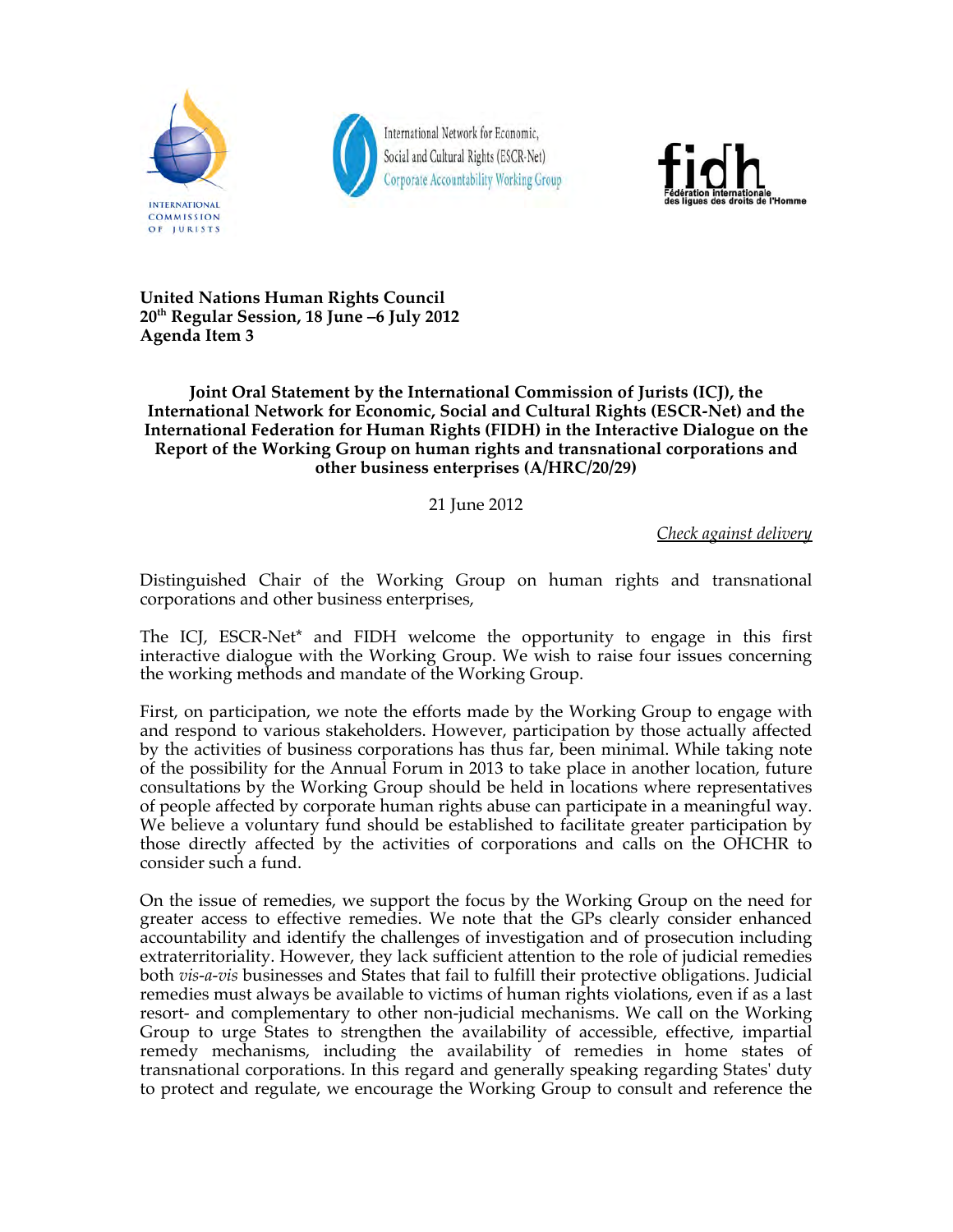

International Network for Economic, Social and Cultural Rights (ESCR-Net) **Corporate Accountability Working Group** 



**United Nations Human Rights Council 20th Regular Session, 18 June –6 July 2012 Agenda Item 3**

**Joint Oral Statement by the International Commission of Jurists (ICJ), the International Network for Economic, Social and Cultural Rights (ESCR-Net) and the International Federation for Human Rights (FIDH) in the Interactive Dialogue on the Report of the Working Group on human rights and transnational corporations and other business enterprises (A/HRC/20/29)**

21 June 2012

*Check against delivery*

Distinguished Chair of the Working Group on human rights and transnational corporations and other business enterprises,

The ICJ, ESCR-Net\* and FIDH welcome the opportunity to engage in this first interactive dialogue with the Working Group. We wish to raise four issues concerning the working methods and mandate of the Working Group.

First, on participation, we note the efforts made by the Working Group to engage with and respond to various stakeholders. However, participation by those actually affected by the activities of business corporations has thus far, been minimal. While taking note of the possibility for the Annual Forum in 2013 to take place in another location, future consultations by the Working Group should be held in locations where representatives of people affected by corporate human rights abuse can participate in a meaningful way. We believe a voluntary fund should be established to facilitate greater participation by those directly affected by the activities of corporations and calls on the OHCHR to consider such a fund.

On the issue of remedies, we support the focus by the Working Group on the need for greater access to effective remedies. We note that the GPs clearly consider enhanced accountability and identify the challenges of investigation and of prosecution including extraterritoriality. However, they lack sufficient attention to the role of judicial remedies both *vis-a-vis* businesses and States that fail to fulfill their protective obligations. Judicial remedies must always be available to victims of human rights violations, even if as a last resort- and complementary to other non-judicial mechanisms. We call on the Working Group to urge States to strengthen the availability of accessible, effective, impartial remedy mechanisms, including the availability of remedies in home states of transnational corporations. In this regard and generally speaking regarding States' duty to protect and regulate, we encourage the Working Group to consult and reference the